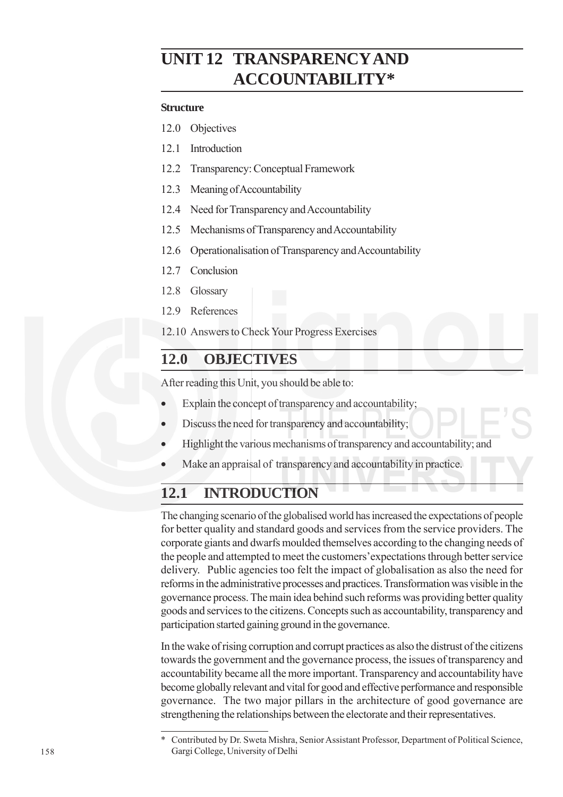# **UNIT 12 TRANSPARENCY AND ACCOUNTABILITY\***

#### **Structure**

- 12.0 Objectives
- 12.1 Introduction
- 12.2 Transparency: Conceptual Framework
- 12.3 Meaning of Accountability
- 12.4 Need for Transparency and Accountability
- 12.5 Mechanisms of Transparency and Accountability
- 12.6 Operationalisation of Transparency and Accountability
- 12.7 Conclusion
- 12.8 Glossary
- 12.9 References

12.10 Answers to Check Your Progress Exercises

## **12.0 OBJECTIVES**

After reading this Unit, you should be able to:

- Explain the concept of transparency and accountability;
- Discuss the need for transparency and accountability;
- Highlight the various mechanisms of transparency and accountability; and
- Make an appraisal of transparency and accountability in practice.

## **12.1 INTRODUCTION**

The changing scenario of the globalised world has increased the expectations of people for better quality and standard goods and services from the service providers. The corporate giants and dwarfs moulded themselves according to the changing needs of the people and attempted to meet the customers'expectations through better service delivery. Public agencies too felt the impact of globalisation as also the need for reforms in the administrative processes and practices. Transformation was visible in the governance process. The main idea behind such reforms was providing better quality goods and services to the citizens. Concepts such as accountability, transparency and participation started gaining ground in the governance.

In the wake of rising corruption and corrupt practices as also the distrust of the citizens towards the government and the governance process, the issues of transparency and accountability became all the more important. Transparency and accountability have become globally relevant and vital for good and effective performance and responsible governance. The two major pillars in the architecture of good governance are strengthening the relationships between the electorate and their representatives.

<sup>\*</sup> Contributed by Dr. Sweta Mishra, Senior Assistant Professor, Department of Political Science, Gargi College, University of Delhi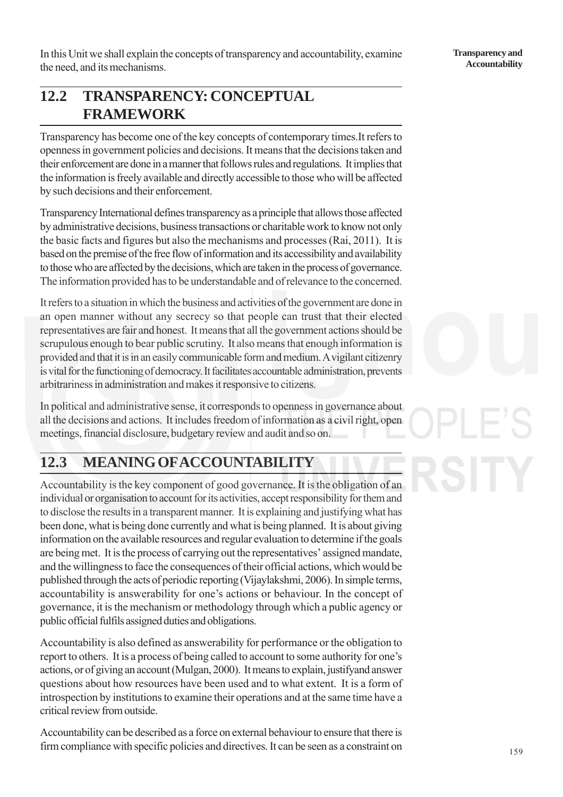In this Unit we shall explain the concepts of transparency and accountability, examine the need, and its mechanisms.

# **12.2 TRANSPARENCY: CONCEPTUAL FRAMEWORK**

Transparency has become one of the key concepts of contemporary times.It refers to openness in government policies and decisions. It means that the decisions taken and their enforcement are done in a manner that follows rules and regulations. It implies that the information is freely available and directly accessible to those who will be affected by such decisions and their enforcement.

Transparency International defines transparency as a principle that allows those affected by administrative decisions, business transactions or charitable work to know not only the basic facts and figures but also the mechanisms and processes (Rai, 2011). It is based on the premise of the free flow of information and its accessibility and availability to those who are affected by the decisions, which are taken in the process of governance. The information provided has to be understandable and of relevance to the concerned.

It refers to a situation in which the business and activities of the government are done in an open manner without any secrecy so that people can trust that their elected representatives are fair and honest. It means that all the government actions should be scrupulous enough to bear public scrutiny. It also means that enough information is provided and that it is in an easily communicable form and medium. A vigilant citizenry is vital for the functioning of democracy. It facilitates accountable administration, prevents arbitrariness in administration and makes it responsive to citizens.

In political and administrative sense, it corresponds to openness in governance about all the decisions and actions. It includes freedom of information as a civil right, open meetings, financial disclosure, budgetary review and audit and so on.

# **12.3 MEANING OF ACCOUNTABILITY**

Accountability is the key component of good governance. It is the obligation of an individual or organisation to account for its activities, accept responsibility for them and to disclose the results in a transparent manner. It is explaining and justifying what has been done, what is being done currently and what is being planned. It is about giving information on the available resources and regular evaluation to determine if the goals are being met. It is the process of carrying out the representatives' assigned mandate, and the willingness to face the consequences of their official actions, which would be published through the acts of periodic reporting (Vijaylakshmi, 2006). In simple terms, accountability is answerability for one's actions or behaviour. In the concept of governance, it is the mechanism or methodology through which a public agency or public official fulfils assigned duties and obligations.

Accountability is also defined as answerability for performance or the obligation to report to others. It is a process of being called to account to some authority for one's actions, or of giving an account (Mulgan, 2000). It means to explain, justifyand answer questions about how resources have been used and to what extent. It is a form of introspection by institutions to examine their operations and at the same time have a critical review from outside.

Accountability can be described as a force on external behaviour to ensure that there is firm compliance with specific policies and directives. It can be seen as a constraint on

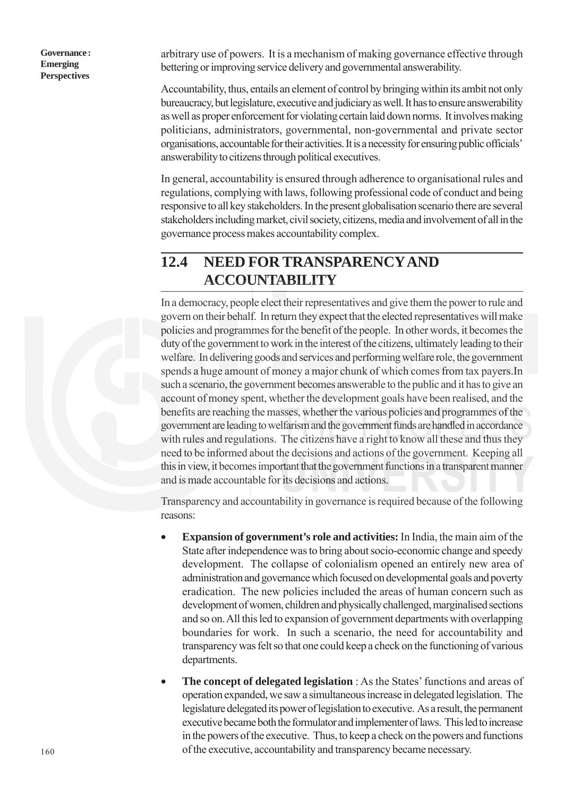arbitrary use of powers. It is a mechanism of making governance effective through bettering or improving service delivery and governmental answerability.

Accountability, thus, entails an element of control by bringing within its ambit not only bureaucracy, but legislature, executive and judiciary as well. It has to ensure answerability as well as proper enforcement for violating certain laid down norms. It involves making politicians, administrators, governmental, non-governmental and private sector organisations, accountable for their activities. It is a necessity for ensuring public officials' answerability to citizens through political executives.

In general, accountability is ensured through adherence to organisational rules and regulations, complying with laws, following professional code of conduct and being responsive to all key stakeholders. In the present globalisation scenario there are several stakeholders including market, civil society, citizens, media and involvement of all in the governance process makes accountability complex.

## **12.4 NEED FOR TRANSPARENCY AND ACCOUNTABILITY**

In a democracy, people elect their representatives and give them the power to rule and govern on their behalf. In return they expect that the elected representatives will make policies and programmes for the benefit of the people. In other words, it becomes the duty of the government to work in the interest of the citizens, ultimately leading to their welfare. In delivering goods and services and performing welfare role, the government spends a huge amount of money a major chunk of which comes from tax payers.In such a scenario, the government becomes answerable to the public and it has to give an account of money spent, whether the development goals have been realised, and the benefits are reaching the masses, whether the various policies and programmes of the government are leading to welfarism and the government funds are handled in accordance with rules and regulations. The citizens have a right to know all these and thus they need to be informed about the decisions and actions of the government. Keeping all this in view, it becomes important that the government functions in a transparent manner and is made accountable for its decisions and actions.

Transparency and accountability in governance is required because of the following reasons:

- **Expansion of government's role and activities:** In India, the main aim of the State after independence was to bring about socio-economic change and speedy development. The collapse of colonialism opened an entirely new area of administration and governance which focused on developmental goals and poverty eradication. The new policies included the areas of human concern such as development of women, children and physically challenged, marginalised sections and so on. All this led to expansion of government departments with overlapping boundaries for work. In such a scenario, the need for accountability and transparency was felt so that one could keep a check on the functioning of various departments.
- **The concept of delegated legislation** : As the States' functions and areas of operation expanded, we saw a simultaneous increase in delegated legislation. The legislature delegated its power of legislation to executive. As a result, the permanent executive became both the formulator and implementer of laws. This led to increase in the powers of the executive. Thus, to keep a check on the powers and functions of the executive, accountability and transparency became necessary.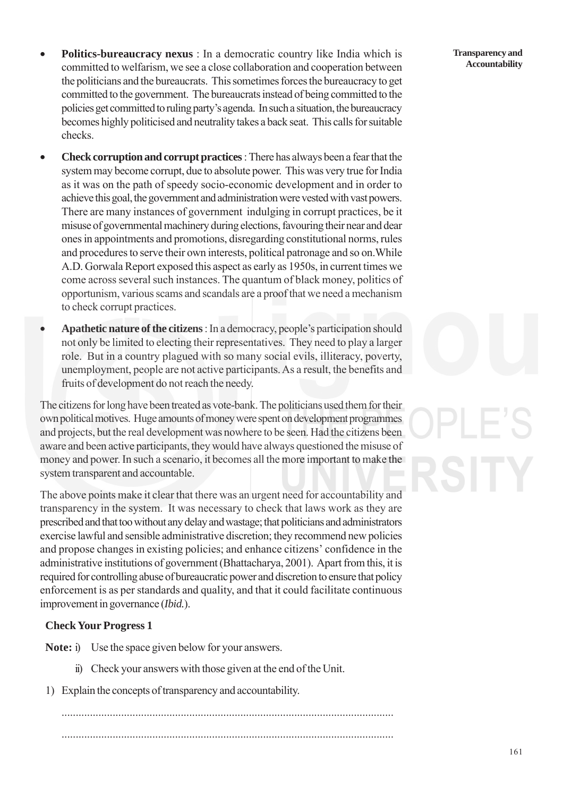- **Politics-bureaucracy nexus** : In a democratic country like India which is committed to welfarism, we see a close collaboration and cooperation between the politicians and the bureaucrats. This sometimes forces the bureaucracy to get committed to the government. The bureaucrats instead of being committed to the policies get committed to ruling party's agenda. In such a situation, the bureaucracy becomes highly politicised and neutrality takes a back seat. This calls for suitable checks.
- **Check corruption and corrupt practices** : There has always been a fear that the system may become corrupt, due to absolute power. This was very true for India as it was on the path of speedy socio-economic development and in order to achieve this goal, the government and administration were vested with vast powers. There are many instances of government indulging in corrupt practices, be it misuse of governmental machinery during elections, favouring their near and dear ones in appointments and promotions, disregarding constitutional norms, rules and procedures to serve their own interests, political patronage and so on.While A.D. Gorwala Report exposed this aspect as early as 1950s, in current times we come across several such instances. The quantum of black money, politics of opportunism, various scams and scandals are a proof that we need a mechanism to check corrupt practices.
- **Apathetic nature of the citizens** : In a democracy, people's participation should not only be limited to electing their representatives. They need to play a larger role. But in a country plagued with so many social evils, illiteracy, poverty, unemployment, people are not active participants. As a result, the benefits and fruits of development do not reach the needy.

The citizens for long have been treated as vote-bank. The politicians used them for their own political motives. Huge amounts of money were spent on development programmes and projects, but the real development was nowhere to be seen. Had the citizens been aware and been active participants, they would have always questioned the misuse of money and power. In such a scenario, it becomes all the more important to make the system transparent and accountable.

The above points make it clear that there was an urgent need for accountability and transparency in the system. It was necessary to check that laws work as they are prescribed and that too without any delay and wastage; that politicians and administrators exercise lawful and sensible administrative discretion; they recommend new policies and propose changes in existing policies; and enhance citizens' confidence in the administrative institutions of government (Bhattacharya, 2001). Apart from this, it is required for controlling abuse of bureaucratic power and discretion to ensure that policy enforcement is as per standards and quality, and that it could facilitate continuous improvement in governance (*Ibid.*).

#### **Check Your Progress 1**

**Note:** i) Use the space given below for your answers.

- ii) Check your answers with those given at the end of the Unit.
- 1) Explain the concepts of transparency and accountability.

..................................................................................................................... .....................................................................................................................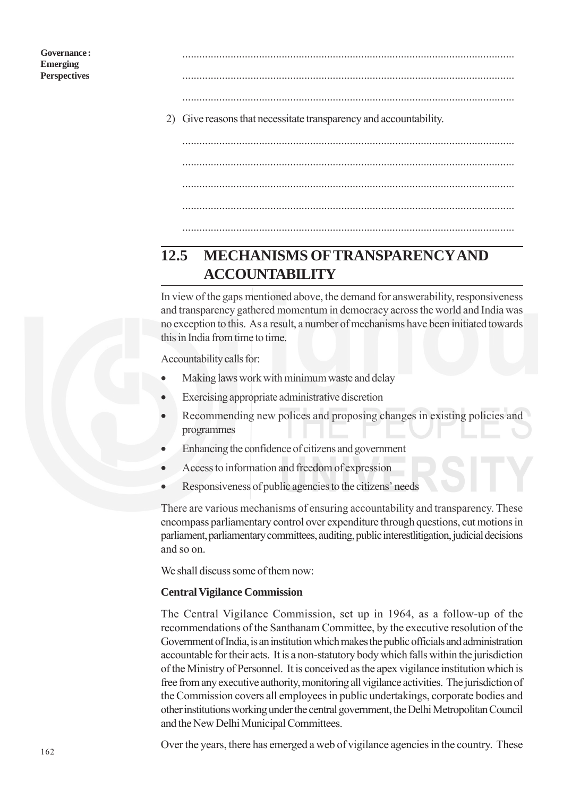..................................................................................................................... .....................................................................................................................

.....................................................................................................................

- 2) Give reasons that necessitate transparency and accountability.
	- ..................................................................................................................... ..................................................................................................................... ..................................................................................................................... .....................................................................................................................

# **12.5 MECHANISMS OF TRANSPARENCY AND ACCOUNTABILITY**

In view of the gaps mentioned above, the demand for answerability, responsiveness and transparency gathered momentum in democracy across the world and India was no exception to this. As a result, a number of mechanisms have been initiated towards this in India from time to time.

Accountability calls for:

- Making laws work with minimum waste and delay
- Exercising appropriate administrative discretion
- Recommending new polices and proposing changes in existing policies and programmes
- Enhancing the confidence of citizens and government
- Access to information and freedom of expression
- Responsiveness of public agencies to the citizens' needs

There are various mechanisms of ensuring accountability and transparency. These encompass parliamentary control over expenditure through questions, cut motions in parliament, parliamentary committees, auditing, public interestlitigation, judicial decisions and so on.

We shall discuss some of them now:

#### **Central Vigilance Commission**

The Central Vigilance Commission, set up in 1964, as a follow-up of the recommendations of the Santhanam Committee, by the executive resolution of the Government of India, is an institution which makes the public officials and administration accountable for their acts. It is a non-statutory body which falls within the jurisdiction of the Ministry of Personnel. It is conceived as the apex vigilance institution which is free from any executive authority, monitoring all vigilance activities. The jurisdiction of the Commission covers all employees in public undertakings, corporate bodies and other institutions working under the central government, the Delhi Metropolitan Council and the New Delhi Municipal Committees.

Over the years, there has emerged a web of vigilance agencies in the country. These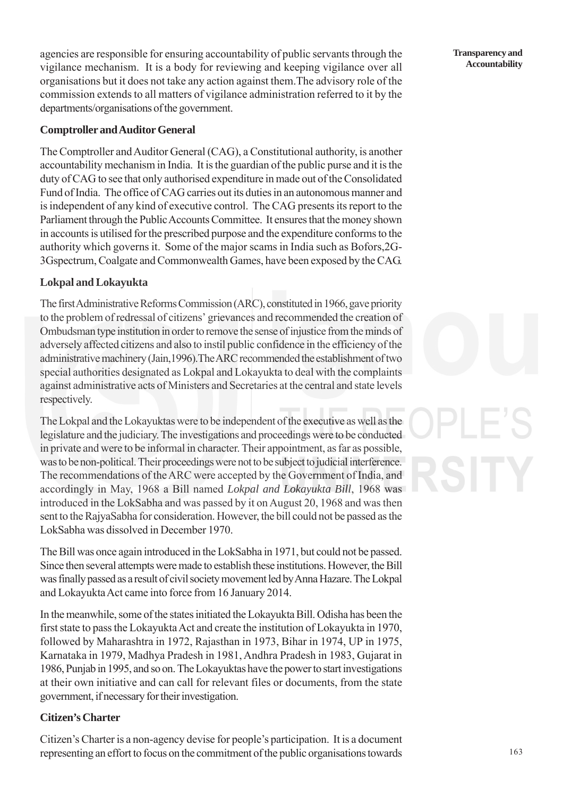agencies are responsible for ensuring accountability of public servants through the vigilance mechanism. It is a body for reviewing and keeping vigilance over all organisations but it does not take any action against them.The advisory role of the commission extends to all matters of vigilance administration referred to it by the departments/organisations of the government.

## **Comptroller and Auditor General**

The Comptroller and Auditor General (CAG), a Constitutional authority, is another accountability mechanism in India. It is the guardian of the public purse and it is the duty of CAG to see that only authorised expenditure in made out of the Consolidated Fund of India. The office of CAG carries out its duties in an autonomous manner and is independent of any kind of executive control. The CAG presents its report to the Parliament through the Public Accounts Committee. It ensures that the money shown in accounts is utilised for the prescribed purpose and the expenditure conforms to the authority which governs it. Some of the major scams in India such as Bofors,2G-3Gspectrum, Coalgate and Commonwealth Games, have been exposed by the CAG.

## **Lokpal and Lokayukta**

The first Administrative Reforms Commission (ARC), constituted in 1966, gave priority to the problem of redressal of citizens' grievances and recommended the creation of Ombudsman type institution in order to remove the sense of injustice from the minds of adversely affected citizens and also to instil public confidence in the efficiency of the administrative machinery (Jain,1996).The ARC recommended the establishment of two special authorities designated as Lokpal and Lokayukta to deal with the complaints against administrative acts of Ministers and Secretaries at the central and state levels respectively.

The Lokpal and the Lokayuktas were to be independent of the executive as well as the legislature and the judiciary. The investigations and proceedings were to be conducted in private and were to be informal in character. Their appointment, as far as possible, was to be non-political. Their proceedings were not to be subject to judicial interference. The recommendations of the ARC were accepted by the Government of India, and accordingly in May, 1968 a Bill named *Lokpal and Lokayukta Bill*, 1968 was introduced in the LokSabha and was passed by it on August 20, 1968 and was then sent to the RajyaSabha for consideration. However, the bill could not be passed as the LokSabha was dissolved in December 1970.

The Bill was once again introduced in the LokSabha in 1971, but could not be passed. Since then several attempts were made to establish these institutions. However, the Bill was finally passed as a result of civil society movement led by Anna Hazare. The Lokpal and Lokayukta Act came into force from 16 January 2014.

In the meanwhile, some of the states initiated the Lokayukta Bill. Odisha has been the first state to pass the Lokayukta Act and create the institution of Lokayukta in 1970, followed by Maharashtra in 1972, Rajasthan in 1973, Bihar in 1974, UP in 1975, Karnataka in 1979, Madhya Pradesh in 1981, Andhra Pradesh in 1983, Gujarat in 1986, Punjab in 1995, and so on. The Lokayuktas have the power to start investigations at their own initiative and can call for relevant files or documents, from the state government, if necessary for their investigation.

### **Citizen's Charter**

Citizen's Charter is a non-agency devise for people's participation. It is a document representing an effort to focus on the commitment of the public organisations towards

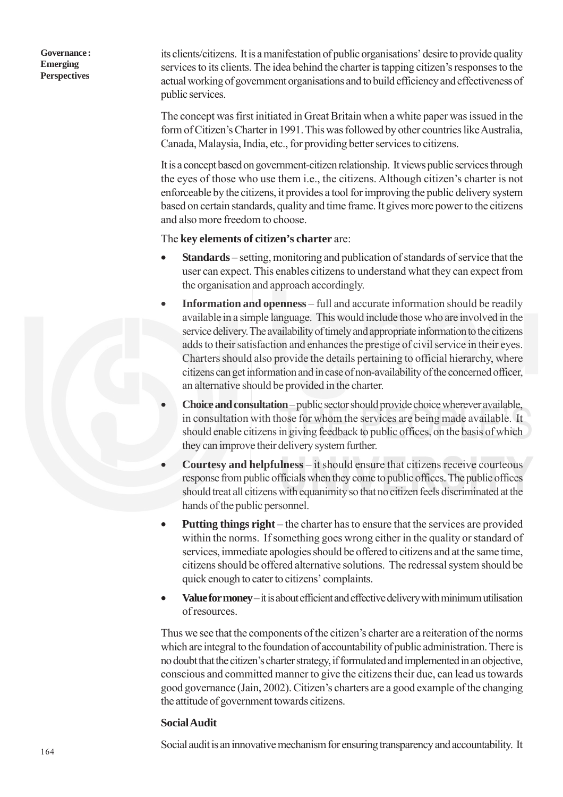its clients/citizens. It is a manifestation of public organisations' desire to provide quality services to its clients. The idea behind the charter is tapping citizen's responses to the actual working of government organisations and to build efficiency and effectiveness of public services.

The concept was first initiated in Great Britain when a white paper was issued in the form of Citizen's Charter in 1991. This was followed by other countries like Australia, Canada, Malaysia, India, etc., for providing better services to citizens.

It is a concept based on government-citizen relationship. It views public services through the eyes of those who use them i.e., the citizens. Although citizen's charter is not enforceable by the citizens, it provides a tool for improving the public delivery system based on certain standards, quality and time frame. It gives more power to the citizens and also more freedom to choose.

#### The **key elements of citizen's charter** are:

- **Standards** setting, monitoring and publication of standards of service that the user can expect. This enables citizens to understand what they can expect from the organisation and approach accordingly.
- **Information and openness**  full and accurate information should be readily available in a simple language. This would include those who are involved in the service delivery. The availability of timely and appropriate information to the citizens adds to their satisfaction and enhances the prestige of civil service in their eyes. Charters should also provide the details pertaining to official hierarchy, where citizens can get information and in case of non-availability of the concerned officer, an alternative should be provided in the charter.
- **Choice and consultation** public sector should provide choice wherever available, in consultation with those for whom the services are being made available. It should enable citizens in giving feedback to public offices, on the basis of which they can improve their delivery system further.
- **Courtesy and helpfulness**  it should ensure that citizens receive courteous response from public officials when they come to public offices. The public offices should treat all citizens with equanimity so that no citizen feels discriminated at the hands of the public personnel.
- **Putting things right** the charter has to ensure that the services are provided within the norms. If something goes wrong either in the quality or standard of services, immediate apologies should be offered to citizens and at the same time, citizens should be offered alternative solutions. The redressal system should be quick enough to cater to citizens' complaints.
- **Value for money**  it is about efficient and effective delivery with minimum utilisation of resources.

Thus we see that the components of the citizen's charter are a reiteration of the norms which are integral to the foundation of accountability of public administration. There is no doubt that the citizen's charter strategy, if formulated and implemented in an objective, conscious and committed manner to give the citizens their due, can lead us towards good governance (Jain, 2002). Citizen's charters are a good example of the changing the attitude of government towards citizens.

#### **Social Audit**

Social audit is an innovative mechanism for ensuring transparency and accountability. It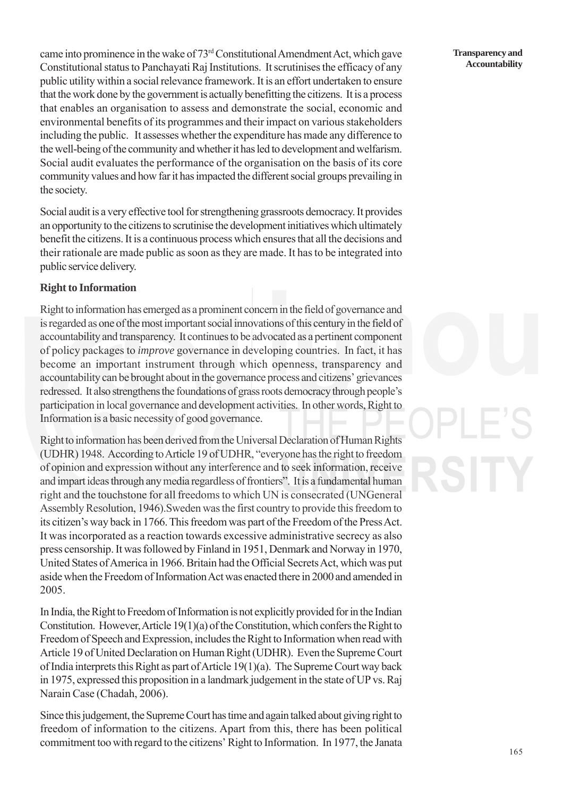came into prominence in the wake of 73rd Constitutional Amendment Act, which gave Constitutional status to Panchayati Raj Institutions. It scrutinises the efficacy of any public utility within a social relevance framework. It is an effort undertaken to ensure that the work done by the government is actually benefitting the citizens. It is a process that enables an organisation to assess and demonstrate the social, economic and environmental benefits of its programmes and their impact on various stakeholders including the public. It assesses whether the expenditure has made any difference to the well-being of the community and whether it has led to development and welfarism. Social audit evaluates the performance of the organisation on the basis of its core community values and how far it has impacted the different social groups prevailing in the society.

Social audit is a very effective tool for strengthening grassroots democracy. It provides an opportunity to the citizens to scrutinise the development initiatives which ultimately benefit the citizens. It is a continuous process which ensures that all the decisions and their rationale are made public as soon as they are made. It has to be integrated into public service delivery.

#### **Right to Information**

Right to information has emerged as a prominent concern in the field of governance and is regarded as one of the most important social innovations of this century in the field of accountability and transparency. It continues to be advocated as a pertinent component of policy packages to *improve* governance in developing countries. In fact, it has become an important instrument through which openness, transparency and accountability can be brought about in the governance process and citizens' grievances redressed. It also strengthens the foundations of grass roots democracy through people's participation in local governance and development activities. In other words, Right to Information is a basic necessity of good governance.

Right to information has been derived from the Universal Declaration of Human Rights (UDHR) 1948. According to Article 19 of UDHR, "everyone has the right to freedom of opinion and expression without any interference and to seek information, receive and impart ideas through any media regardless of frontiers". It is a fundamental human right and the touchstone for all freedoms to which UN is consecrated (UNGeneral Assembly Resolution, 1946).Sweden was the first country to provide this freedom to its citizen's way back in 1766. This freedom was part of the Freedom of the Press Act. It was incorporated as a reaction towards excessive administrative secrecy as also press censorship. It was followed by Finland in 1951, Denmark and Norway in 1970, United States of America in 1966. Britain had the Official Secrets Act, which was put aside when the Freedom of Information Act was enacted there in 2000 and amended in 2005.

In India, the Right to Freedom of Information is not explicitly provided for in the Indian Constitution. However, Article 19(1)(a) of the Constitution, which confers the Right to Freedom of Speech and Expression, includes the Right to Information when read with Article 19 of United Declaration on Human Right (UDHR). Even the Supreme Court of India interprets this Right as part of Article 19(1)(a). The Supreme Court way back in 1975, expressed this proposition in a landmark judgement in the state of UP vs. Raj Narain Case (Chadah, 2006).

Since this judgement, the Supreme Court has time and again talked about giving right to freedom of information to the citizens. Apart from this, there has been political commitment too with regard to the citizens' Right to Information. In 1977, the Janata

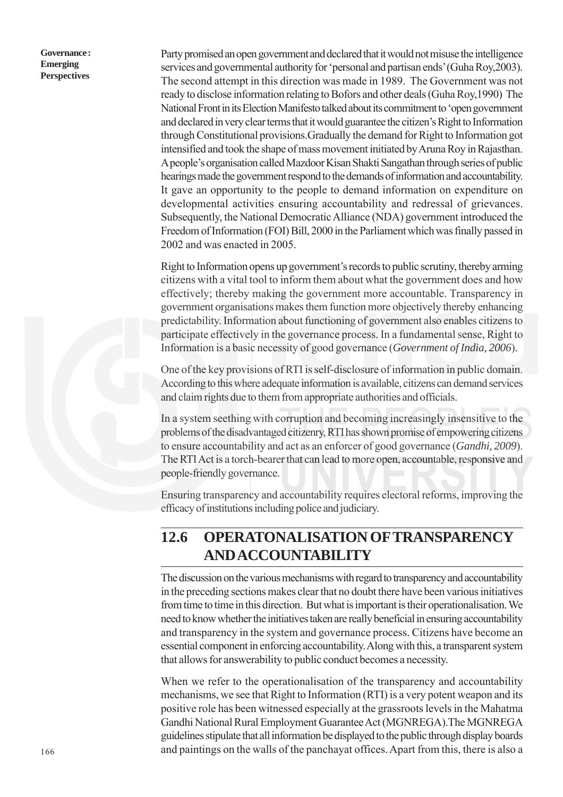Party promised an open government and declared that it would not misuse the intelligence services and governmental authority for 'personal and partisan ends' (Guha Roy,2003). The second attempt in this direction was made in 1989. The Government was not ready to disclose information relating to Bofors and other deals (Guha Roy,1990) The National Front in its Election Manifesto talked about its commitment to 'open government and declared in very clear terms that it would guarantee the citizen's Right to Information through Constitutional provisions.Gradually the demand for Right to Information got intensified and took the shape of mass movement initiated by Aruna Roy in Rajasthan. A people's organisation called Mazdoor Kisan Shakti Sangathan through series of public hearings made the government respond to the demands of information and accountability. It gave an opportunity to the people to demand information on expenditure on developmental activities ensuring accountability and redressal of grievances. Subsequently, the National Democratic Alliance (NDA) government introduced the Freedom of Information (FOI) Bill, 2000 in the Parliament which was finally passed in 2002 and was enacted in 2005.

Right to Information opens up government's records to public scrutiny, thereby arming citizens with a vital tool to inform them about what the government does and how effectively; thereby making the government more accountable. Transparency in government organisations makes them function more objectively thereby enhancing predictability. Information about functioning of government also enables citizens to participate effectively in the governance process. In a fundamental sense, Right to Information is a basic necessity of good governance (*Government of India, 2006*).

One of the key provisions of RTI is self-disclosure of information in public domain. According to this where adequate information is available, citizens can demand services and claim rights due to them from appropriate authorities and officials.

In a system seething with corruption and becoming increasingly insensitive to the problems of the disadvantaged citizenry, RTI has shown promise of empowering citizens to ensure accountability and act as an enforcer of good governance (*Gandhi, 2009*). The RTI Act is a torch-bearer that can lead to more open, accountable, responsive and people-friendly governance.

Ensuring transparency and accountability requires electoral reforms, improving the efficacy of institutions including police and judiciary.

# **12.6 OPERATONALISATION OF TRANSPARENCY AND ACCOUNTABILITY**

The discussion on the various mechanisms with regard to transparency and accountability in the preceding sections makes clear that no doubt there have been various initiatives from time to time in this direction. But what is important is their operationalisation. We need to know whether the initiatives taken are really beneficial in ensuring accountability and transparency in the system and governance process. Citizens have become an essential component in enforcing accountability. Along with this, a transparent system that allows for answerability to public conduct becomes a necessity.

When we refer to the operationalisation of the transparency and accountability mechanisms, we see that Right to Information (RTI) is a very potent weapon and its positive role has been witnessed especially at the grassroots levels in the Mahatma Gandhi National Rural Employment Guarantee Act (MGNREGA).The MGNREGA guidelines stipulate that all information be displayed to the public through display boards and paintings on the walls of the panchayat offices. Apart from this, there is also a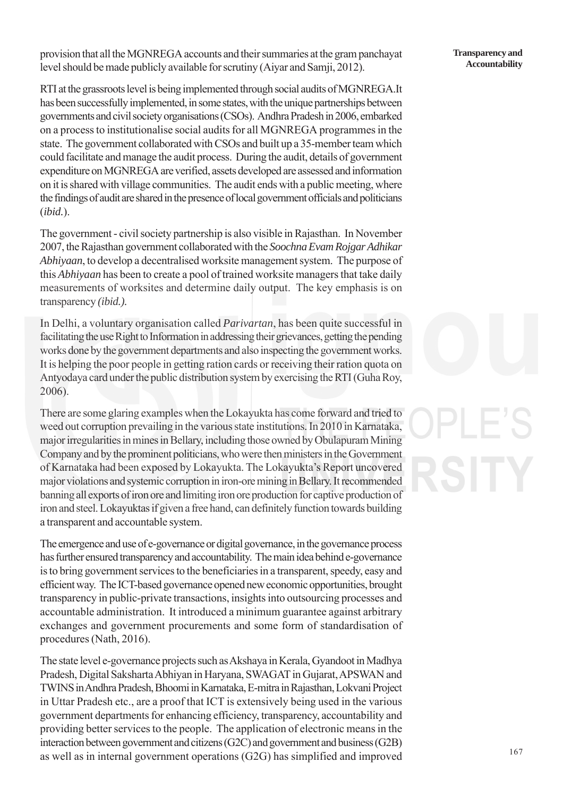provision that all the MGNREGA accounts and their summaries at the gram panchayat level should be made publicly available for scrutiny (Aiyar and Samji, 2012).

RTI at the grassroots level is being implemented through social audits of MGNREGA.It has been successfully implemented, in some states, with the unique partnerships between governments and civil society organisations (CSOs). Andhra Pradesh in 2006, embarked on a process to institutionalise social audits for all MGNREGA programmes in the state. The government collaborated with CSOs and built up a 35-member team which could facilitate and manage the audit process. During the audit, details of government expenditure on MGNREGA are verified, assets developed are assessed and information on it is shared with village communities. The audit ends with a public meeting, where the findings of audit are shared in the presence of local government officials and politicians (*ibid.*).

The government - civil society partnership is also visible in Rajasthan. In November 2007, the Rajasthan government collaborated with the *Soochna Evam Rojgar Adhikar Abhiyaan*, to develop a decentralised worksite management system. The purpose of this *Abhiyaan* has been to create a pool of trained worksite managers that take daily measurements of worksites and determine daily output. The key emphasis is on transparency *(ibid.).*

In Delhi, a voluntary organisation called *Parivartan*, has been quite successful in facilitating the use Right to Information in addressing their grievances, getting the pending works done by the government departments and also inspecting the government works. It is helping the poor people in getting ration cards or receiving their ration quota on Antyodaya card under the public distribution system by exercising the RTI (Guha Roy, 2006).

There are some glaring examples when the Lokayukta has come forward and tried to weed out corruption prevailing in the various state institutions. In 2010 in Karnataka, major irregularities in mines in Bellary, including those owned by Obulapuram Mining Company and by the prominent politicians, who were then ministers in the Government of Karnataka had been exposed by Lokayukta. The Lokayukta's Report uncovered major violations and systemic corruption in iron-ore mining in Bellary. It recommended banning all exports of iron ore and limiting iron ore production for captive production of iron and steel. Lokayuktas if given a free hand, can definitely function towards building a transparent and accountable system.

The emergence and use of e-governance or digital governance, in the governance process has further ensured transparency and accountability. The main idea behind e-governance is to bring government services to the beneficiaries in a transparent, speedy, easy and efficient way. The ICT-based governance opened new economic opportunities, brought transparency in public-private transactions, insights into outsourcing processes and accountable administration. It introduced a minimum guarantee against arbitrary exchanges and government procurements and some form of standardisation of procedures (Nath, 2016).

The state level e-governance projects such as Akshaya in Kerala, Gyandoot in Madhya Pradesh, Digital Saksharta Abhiyan in Haryana, SWAGAT in Gujarat, APSWAN and TWINS in Andhra Pradesh, Bhoomi in Karnataka, E-mitra in Rajasthan, Lokvani Project in Uttar Pradesh etc., are a proof that ICT is extensively being used in the various government departments for enhancing efficiency, transparency, accountability and providing better services to the people. The application of electronic means in the interaction between government and citizens (G2C) and government and business (G2B) as well as in internal government operations (G2G) has simplified and improved

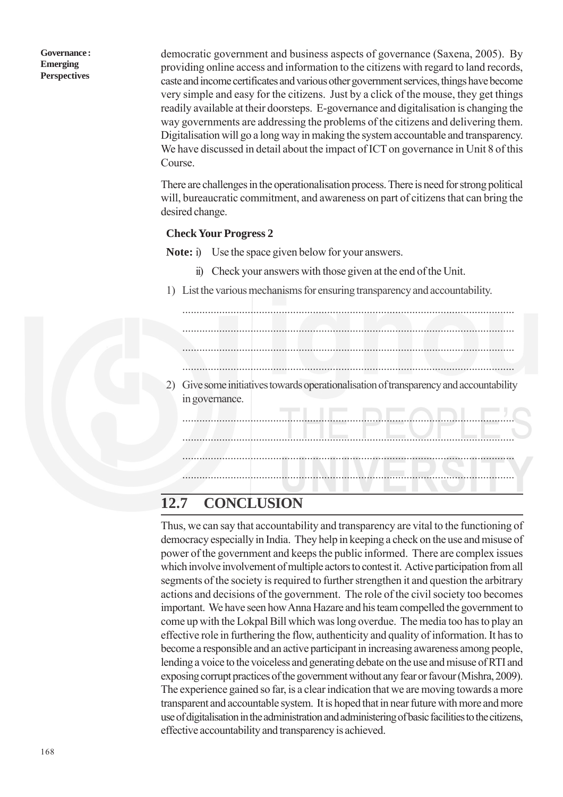democratic government and business aspects of governance (Saxena, 2005). By providing online access and information to the citizens with regard to land records, caste and income certificates and various other government services, things have become very simple and easy for the citizens. Just by a click of the mouse, they get things readily available at their doorsteps. E-governance and digitalisation is changing the way governments are addressing the problems of the citizens and delivering them. Digitalisation will go a long way in making the system accountable and transparency. We have discussed in detail about the impact of ICT on governance in Unit 8 of this Course.

There are challenges in the operationalisation process. There is need for strong political will, bureaucratic commitment, and awareness on part of citizens that can bring the desired change.

#### **Check Your Progress 2**

**Note:** i) Use the space given below for your answers.

- ii) Check your answers with those given at the end of the Unit.
- 1) List the various mechanisms for ensuring transparency and accountability.



## **12.7 CONCLUSION**

Thus, we can say that accountability and transparency are vital to the functioning of democracy especially in India. They help in keeping a check on the use and misuse of power of the government and keeps the public informed. There are complex issues which involve involvement of multiple actors to contest it. Active participation from all segments of the society is required to further strengthen it and question the arbitrary actions and decisions of the government. The role of the civil society too becomes important. We have seen how Anna Hazare and his team compelled the government to come up with the Lokpal Bill which was long overdue. The media too has to play an effective role in furthering the flow, authenticity and quality of information. It has to become a responsible and an active participant in increasing awareness among people, lending a voice to the voiceless and generating debate on the use and misuse of RTI and exposing corrupt practices of the government without any fear or favour (Mishra, 2009). The experience gained so far, is a clear indication that we are moving towards a more transparent and accountable system. It is hoped that in near future with more and more use of digitalisation in the administration and administering of basic facilities to the citizens, effective accountability and transparency is achieved.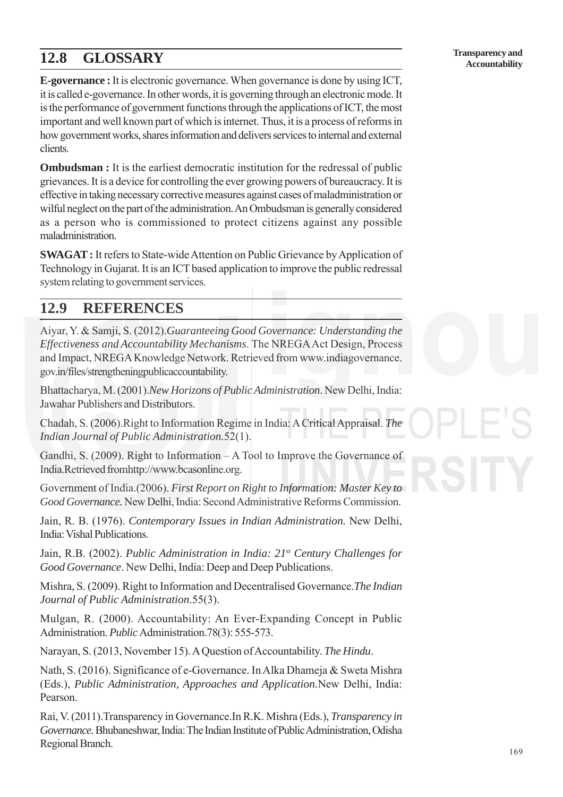# **12.8 GLOSSARY**

**Transparency and Accountability**

**E-governance :** It is electronic governance. When governance is done by using ICT, it is called e-governance. In other words, it is governing through an electronic mode. It is the performance of government functions through the applications of ICT, the most important and well known part of which is internet. Thus, it is a process of reforms in how government works, shares information and delivers services to internal and external clients.

**Ombudsman :** It is the earliest democratic institution for the redressal of public grievances. It is a device for controlling the ever growing powers of bureaucracy. It is effective in taking necessary corrective measures against cases of maladministration or wilful neglect on the part of the administration. An Ombudsman is generally considered as a person who is commissioned to protect citizens against any possible maladministration.

**SWAGAT :** It refers to State-wide Attention on Public Grievance by Application of Technology in Gujarat. It is an ICT based application to improve the public redressal system relating to government services.

## **12.9 REFERENCES**

Aiyar, Y. & Samji, S. (2012).*Guaranteeing Good Governance: Understanding the Effectiveness and Accountability Mechanisms*. The NREGA Act Design, Process and Impact, NREGA Knowledge Network. Retrieved from www.indiagovernance. gov.in/files/strengtheningpublicaccountability.

Bhattacharya, M. (2001).*New Horizons of Public Administration*. New Delhi, India: Jawahar Publishers and Distributors.

Chadah, S. (2006).Right to Information Regime in India: A Critical Appraisal. *The Indian Journal of Public Administration.*52(1).

Gandhi, S. (2009). Right to Information – A Tool to Improve the Governance of India.Retrieved fromhttp://www.bcasonline.org.

Government of India.(2006). *First Report on Right to Information: Master Key to Good Governance.* New Delhi, India: Second Administrative Reforms Commission.

Jain, R. B. (1976). *Contemporary Issues in Indian Administration.* New Delhi, India: Vishal Publications.

Jain, R.B. (2002). *Public Administration in India: 21st Century Challenges for Good Governance*. New Delhi, India: Deep and Deep Publications.

Mishra, S. (2009). Right to Information and Decentralised Governance.*The Indian Journal of Public Administration*.55(3).

Mulgan, R. (2000). Accountability: An Ever-Expanding Concept in Public Administration. *Public* Administration.78(3): 555-573.

Narayan, S. (2013, November 15). A Question of Accountability. *The Hindu*.

Nath, S. (2016). Significance of e-Governance. In Alka Dhameja & Sweta Mishra (Eds.), *Public Administration, Approaches and Application.*New Delhi, India: Pearson.

Rai, V. (2011).Transparency in Governance.In R.K. Mishra (Eds.), *Transparency in Governance.* Bhubaneshwar, India: The Indian Institute of Public Administration, Odisha Regional Branch.